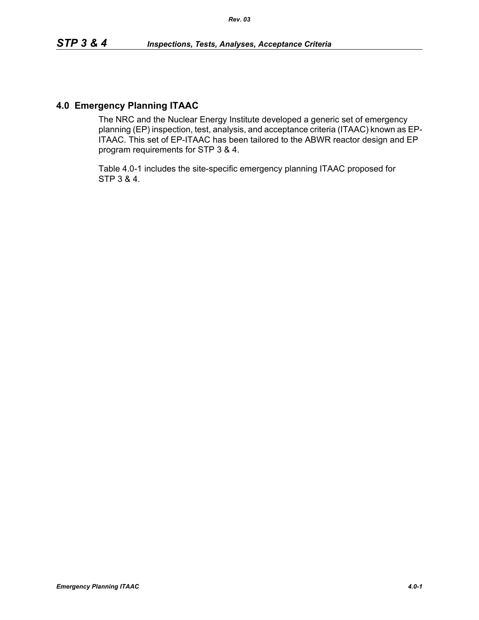## **4.0 Emergency Planning ITAAC**

The NRC and the Nuclear Energy Institute developed a generic set of emergency planning (EP) inspection, test, analysis, and acceptance criteria (ITAAC) known as EP-ITAAC. This set of EP-ITAAC has been tailored to the ABWR reactor design and EP program requirements for STP 3 & 4.

Table 4.0-1 includes the site-specific emergency planning ITAAC proposed for STP 3 & 4.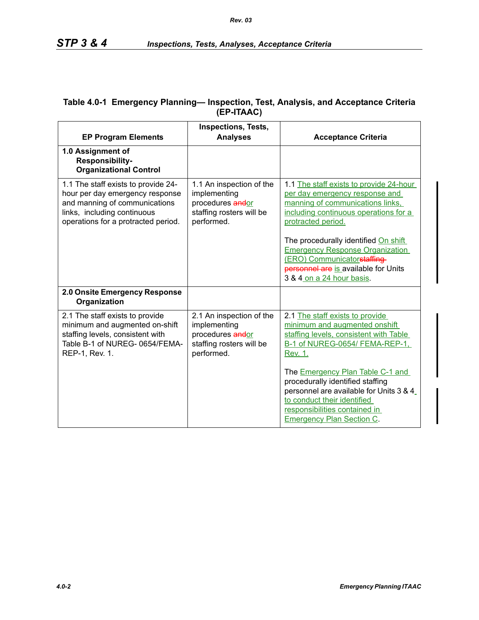| <b>EP Program Elements</b>                                                                                                                                                    | <b>Inspections, Tests,</b><br><b>Analyses</b>                                                          | <b>Acceptance Criteria</b>                                                                                                                                                                                                                                                                                                                                                            |
|-------------------------------------------------------------------------------------------------------------------------------------------------------------------------------|--------------------------------------------------------------------------------------------------------|---------------------------------------------------------------------------------------------------------------------------------------------------------------------------------------------------------------------------------------------------------------------------------------------------------------------------------------------------------------------------------------|
| 1.0 Assignment of<br>Responsibility-<br><b>Organizational Control</b>                                                                                                         |                                                                                                        |                                                                                                                                                                                                                                                                                                                                                                                       |
| 1.1 The staff exists to provide 24-<br>hour per day emergency response<br>and manning of communications<br>links, including continuous<br>operations for a protracted period. | 1.1 An inspection of the<br>implementing<br>procedures andor<br>staffing rosters will be<br>performed. | 1.1 The staff exists to provide 24-hour<br>per day emergency response and<br>manning of communications links,<br>including continuous operations for a<br>protracted period.<br>The procedurally identified On shift<br><b>Emergency Response Organization</b><br>(ERO) Communicatorstaffing-<br>personnel are is available for Units<br>3 & 4 on a 24 hour basis.                    |
| 2.0 Onsite Emergency Response<br>Organization                                                                                                                                 |                                                                                                        |                                                                                                                                                                                                                                                                                                                                                                                       |
| 2.1 The staff exists to provide<br>minimum and augmented on-shift<br>staffing levels, consistent with<br>Table B-1 of NUREG- 0654/FEMA-<br>REP-1, Rev. 1.                     | 2.1 An inspection of the<br>implementing<br>procedures andor<br>staffing rosters will be<br>performed. | 2.1 The staff exists to provide<br>minimum and augmented onshift<br>staffing levels, consistent with Table<br>B-1 of NUREG-0654/ FEMA-REP-1,<br>Rev. 1.<br>The <b>Emergency Plan Table C-1 and</b><br>procedurally identified staffing<br>personnel are available for Units 3 & 4<br>to conduct their identified<br>responsibilities contained in<br><b>Emergency Plan Section C.</b> |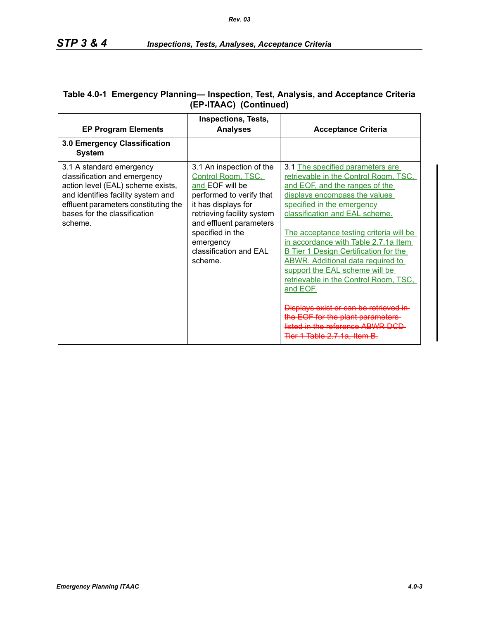| <b>EP Program Elements</b>                                                                                                                                                                                             | Inspections, Tests,<br><b>Analyses</b>                                                                                                                                                                                                              | <b>Acceptance Criteria</b>                                                                                                                                                                                                                                                                                                                                                                                                                                                                                                                                                                                                            |
|------------------------------------------------------------------------------------------------------------------------------------------------------------------------------------------------------------------------|-----------------------------------------------------------------------------------------------------------------------------------------------------------------------------------------------------------------------------------------------------|---------------------------------------------------------------------------------------------------------------------------------------------------------------------------------------------------------------------------------------------------------------------------------------------------------------------------------------------------------------------------------------------------------------------------------------------------------------------------------------------------------------------------------------------------------------------------------------------------------------------------------------|
| 3.0 Emergency Classification<br><b>System</b>                                                                                                                                                                          |                                                                                                                                                                                                                                                     |                                                                                                                                                                                                                                                                                                                                                                                                                                                                                                                                                                                                                                       |
| 3.1 A standard emergency<br>classification and emergency<br>action level (EAL) scheme exists,<br>and identifies facility system and<br>effluent parameters constituting the<br>bases for the classification<br>scheme. | 3.1 An inspection of the<br>Control Room, TSC,<br>and EOF will be<br>performed to verify that<br>it has displays for<br>retrieving facility system<br>and effluent parameters<br>specified in the<br>emergency<br>classification and EAL<br>scheme. | 3.1 The specified parameters are<br>retrievable in the Control Room, TSC,<br>and EOF, and the ranges of the<br>displays encompass the values<br>specified in the emergency<br>classification and EAL scheme.<br>The acceptance testing criteria will be<br>in accordance with Table 2.7.1a Item<br><b>B</b> Tier 1 Design Certification for the<br><b>ABWR.</b> Additional data required to<br>support the EAL scheme will be<br>retrievable in the Control Room, TSC,<br>and EOF.<br>Displays exist or can be retrieved in-<br>the EOF for the plant parameters-<br>listed in the reference ABWR DCD<br>Tier 1 Table 2.7.1a, Item B. |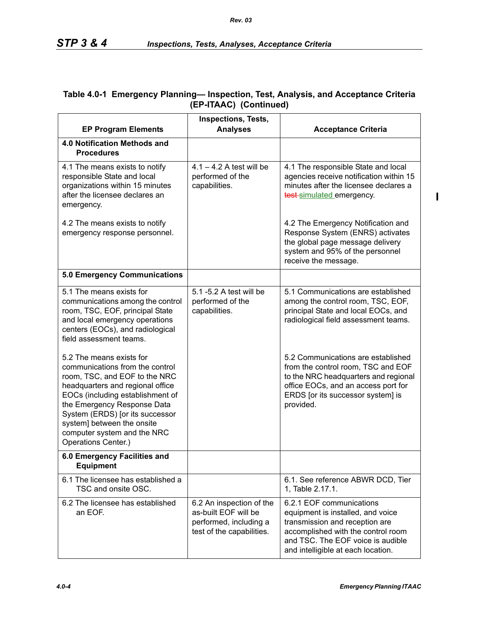## **Table 4.0-1 Emergency Planning— Inspection, Test, Analysis, and Acceptance Criteria (EP-ITAAC) (Continued)**

|                                                                                                                                                                                                                                                                                                                            | <b>Inspections, Tests,</b>                                                                              |                                                                                                                                                                                                                  |
|----------------------------------------------------------------------------------------------------------------------------------------------------------------------------------------------------------------------------------------------------------------------------------------------------------------------------|---------------------------------------------------------------------------------------------------------|------------------------------------------------------------------------------------------------------------------------------------------------------------------------------------------------------------------|
| <b>EP Program Elements</b>                                                                                                                                                                                                                                                                                                 | <b>Analyses</b>                                                                                         | <b>Acceptance Criteria</b>                                                                                                                                                                                       |
| 4.0 Notification Methods and<br><b>Procedures</b>                                                                                                                                                                                                                                                                          |                                                                                                         |                                                                                                                                                                                                                  |
| 4.1 The means exists to notify<br>responsible State and local<br>organizations within 15 minutes<br>after the licensee declares an<br>emergency.                                                                                                                                                                           | $4.1 - 4.2$ A test will be<br>performed of the<br>capabilities.                                         | 4.1 The responsible State and local<br>agencies receive notification within 15<br>minutes after the licensee declares a<br>test simulated emergency.                                                             |
| 4.2 The means exists to notify<br>emergency response personnel.                                                                                                                                                                                                                                                            |                                                                                                         | 4.2 The Emergency Notification and<br>Response System (ENRS) activates<br>the global page message delivery<br>system and 95% of the personnel<br>receive the message.                                            |
| 5.0 Emergency Communications                                                                                                                                                                                                                                                                                               |                                                                                                         |                                                                                                                                                                                                                  |
| 5.1 The means exists for<br>communications among the control<br>room, TSC, EOF, principal State<br>and local emergency operations<br>centers (EOCs), and radiological<br>field assessment teams.                                                                                                                           | 5.1 -5.2 A test will be<br>performed of the<br>capabilities.                                            | 5.1 Communications are established<br>among the control room, TSC, EOF,<br>principal State and local EOCs, and<br>radiological field assessment teams.                                                           |
| 5.2 The means exists for<br>communications from the control<br>room, TSC, and EOF to the NRC<br>headquarters and regional office<br>EOCs (including establishment of<br>the Emergency Response Data<br>System (ERDS) [or its successor<br>system] between the onsite<br>computer system and the NRC<br>Operations Center.) |                                                                                                         | 5.2 Communications are established<br>from the control room, TSC and EOF<br>to the NRC headquarters and regional<br>office EOCs, and an access port for<br>ERDS [or its successor system] is<br>provided.        |
| 6.0 Emergency Facilities and<br><b>Equipment</b>                                                                                                                                                                                                                                                                           |                                                                                                         |                                                                                                                                                                                                                  |
| 6.1 The licensee has established a<br>TSC and onsite OSC.                                                                                                                                                                                                                                                                  |                                                                                                         | 6.1. See reference ABWR DCD, Tier<br>1, Table 2.17.1.                                                                                                                                                            |
| 6.2 The licensee has established<br>an EOF.                                                                                                                                                                                                                                                                                | 6.2 An inspection of the<br>as-built EOF will be<br>performed, including a<br>test of the capabilities. | 6.2.1 EOF communications<br>equipment is installed, and voice<br>transmission and reception are<br>accomplished with the control room<br>and TSC. The EOF voice is audible<br>and intelligible at each location. |

 $\blacksquare$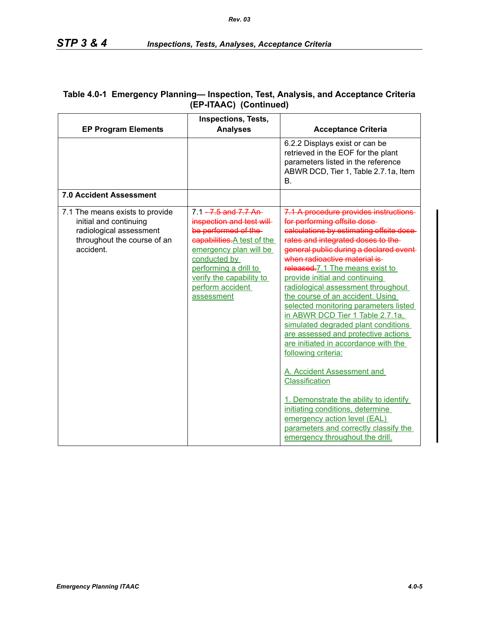| <b>EP Program Elements</b>                                                                                                       | <b>Inspections, Tests,</b><br><b>Analyses</b>                                                                                                                                                                                                | <b>Acceptance Criteria</b>                                                                                                                                                                                                                                                                                                                                                                                                                                                                                                                                                                                                                                                                                                                                                                                                                             |
|----------------------------------------------------------------------------------------------------------------------------------|----------------------------------------------------------------------------------------------------------------------------------------------------------------------------------------------------------------------------------------------|--------------------------------------------------------------------------------------------------------------------------------------------------------------------------------------------------------------------------------------------------------------------------------------------------------------------------------------------------------------------------------------------------------------------------------------------------------------------------------------------------------------------------------------------------------------------------------------------------------------------------------------------------------------------------------------------------------------------------------------------------------------------------------------------------------------------------------------------------------|
|                                                                                                                                  |                                                                                                                                                                                                                                              | 6.2.2 Displays exist or can be<br>retrieved in the EOF for the plant<br>parameters listed in the reference<br>ABWR DCD, Tier 1, Table 2.7.1a, Item<br>В.                                                                                                                                                                                                                                                                                                                                                                                                                                                                                                                                                                                                                                                                                               |
| 7.0 Accident Assessment                                                                                                          |                                                                                                                                                                                                                                              |                                                                                                                                                                                                                                                                                                                                                                                                                                                                                                                                                                                                                                                                                                                                                                                                                                                        |
| 7.1 The means exists to provide<br>initial and continuing<br>radiological assessment<br>throughout the course of an<br>accident. | $7.1 - 7.5$ and $7.7$ An-<br>inspection and test will<br>be performed of the<br>capabilities. A test of the<br>emergency plan will be<br>conducted by<br>performing a drill to<br>verify the capability to<br>perform accident<br>assessment | 7.1 A procedure provides instructions<br>for performing offsite dose-<br>calculations by estimating offsite dose-<br>rates and integrated doses to the-<br>general public during a declared event-<br>when radioactive material is-<br>released.7.1 The means exist to<br>provide initial and continuing<br>radiological assessment throughout<br>the course of an accident. Using<br>selected monitoring parameters listed<br>in ABWR DCD Tier 1 Table 2.7.1a,<br>simulated degraded plant conditions<br>are assessed and protective actions<br>are initiated in accordance with the<br>following criteria:<br>A. Accident Assessment and<br>Classification<br>1. Demonstrate the ability to identify<br>initiating conditions, determine<br>emergency action level (EAL)<br>parameters and correctly classify the<br>emergency throughout the drill. |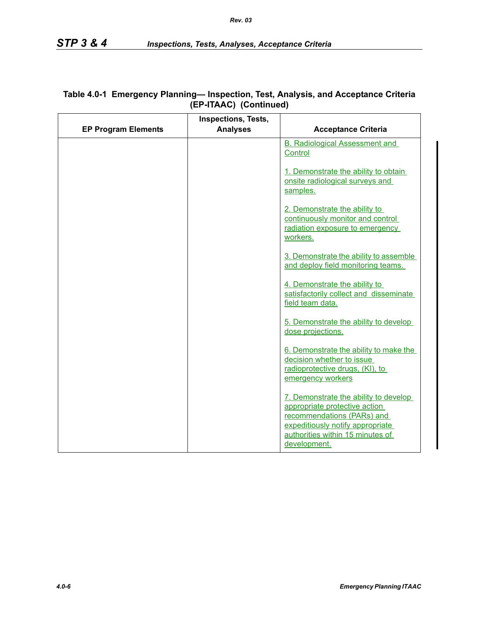|                            | <b>Inspections, Tests,</b> |                                                                                                                                                                                              |
|----------------------------|----------------------------|----------------------------------------------------------------------------------------------------------------------------------------------------------------------------------------------|
| <b>EP Program Elements</b> | <b>Analyses</b>            | <b>Acceptance Criteria</b>                                                                                                                                                                   |
|                            |                            | <b>B. Radiological Assessment and</b>                                                                                                                                                        |
|                            |                            | Control                                                                                                                                                                                      |
|                            |                            | 1. Demonstrate the ability to obtain<br>onsite radiological surveys and<br>samples.                                                                                                          |
|                            |                            | 2. Demonstrate the ability to<br>continuously monitor and control<br>radiation exposure to emergency<br>workers.                                                                             |
|                            |                            | 3. Demonstrate the ability to assemble<br>and deploy field monitoring teams.                                                                                                                 |
|                            |                            | 4. Demonstrate the ability to<br>satisfactorily collect and disseminate<br>field team data.                                                                                                  |
|                            |                            | 5. Demonstrate the ability to develop<br>dose projections.                                                                                                                                   |
|                            |                            | 6. Demonstrate the ability to make the<br>decision whether to issue<br>radioprotective drugs, (KI), to<br>emergency workers                                                                  |
|                            |                            | 7. Demonstrate the ability to develop<br>appropriate protective action<br>recommendations (PARs) and<br>expeditiously notify appropriate<br>authorities within 15 minutes of<br>development. |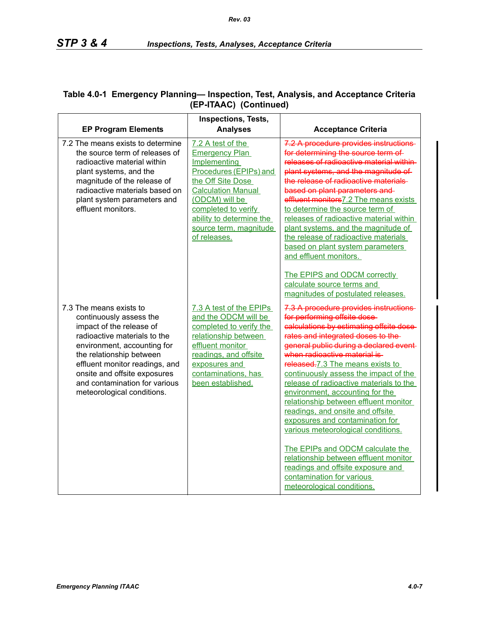|                                                                                                                                                                                                                                                                                                            | Inspections, Tests,                                                                                                                                                                                                                                   |                                                                                                                                                                                                                                                                                                                                                                                                                                                                                                                                                                                                                                                                                                                                                                                                                                       |
|------------------------------------------------------------------------------------------------------------------------------------------------------------------------------------------------------------------------------------------------------------------------------------------------------------|-------------------------------------------------------------------------------------------------------------------------------------------------------------------------------------------------------------------------------------------------------|---------------------------------------------------------------------------------------------------------------------------------------------------------------------------------------------------------------------------------------------------------------------------------------------------------------------------------------------------------------------------------------------------------------------------------------------------------------------------------------------------------------------------------------------------------------------------------------------------------------------------------------------------------------------------------------------------------------------------------------------------------------------------------------------------------------------------------------|
| <b>EP Program Elements</b>                                                                                                                                                                                                                                                                                 | <b>Analyses</b>                                                                                                                                                                                                                                       | <b>Acceptance Criteria</b>                                                                                                                                                                                                                                                                                                                                                                                                                                                                                                                                                                                                                                                                                                                                                                                                            |
| 7.2 The means exists to determine<br>the source term of releases of<br>radioactive material within<br>plant systems, and the<br>magnitude of the release of<br>radioactive materials based on<br>plant system parameters and<br>effluent monitors.                                                         | 7.2 A test of the<br><b>Emergency Plan</b><br>Implementing<br>Procedures (EPIPs) and<br>the Off Site Dose<br><b>Calculation Manual</b><br>(ODCM) will be<br>completed to verify<br>ability to determine the<br>source term, magnitude<br>of releases. | 7.2 A procedure provides instructions<br>for determining the source term of<br>releases of radioactive material within-<br>plant systems, and the magnitude of<br>the release of radioactive materials<br>based on plant parameters and-<br>effluent monitors7.2 The means exists<br>to determine the source term of<br>releases of radioactive material within<br>plant systems, and the magnitude of<br>the release of radioactive materials<br>based on plant system parameters<br>and effluent monitors.                                                                                                                                                                                                                                                                                                                          |
| 7.3 The means exists to<br>continuously assess the<br>impact of the release of<br>radioactive materials to the<br>environment, accounting for<br>the relationship between<br>effluent monitor readings, and<br>onsite and offsite exposures<br>and contamination for various<br>meteorological conditions. | 7.3 A test of the EPIPs<br>and the ODCM will be<br>completed to verify the<br>relationship between<br>effluent monitor<br>readings, and offsite<br>exposures and<br>contaminations, has<br>been established.                                          | The EPIPS and ODCM correctly<br>calculate source terms and<br>magnitudes of postulated releases.<br>7.3 A procedure provides instructions<br>for performing offsite dose-<br>calculations by estimating offsite dose-<br>rates and integrated doses to the-<br>general public during a declared event-<br>when radioactive material is-<br>released.7.3 The means exists to<br>continuously assess the impact of the<br>release of radioactive materials to the<br>environment, accounting for the<br>relationship between effluent monitor<br>readings, and onsite and offsite<br>exposures and contamination for<br>various meteorological conditions.<br>The EPIPs and ODCM calculate the<br>relationship between effluent monitor<br>readings and offsite exposure and<br>contamination for various<br>meteorological conditions. |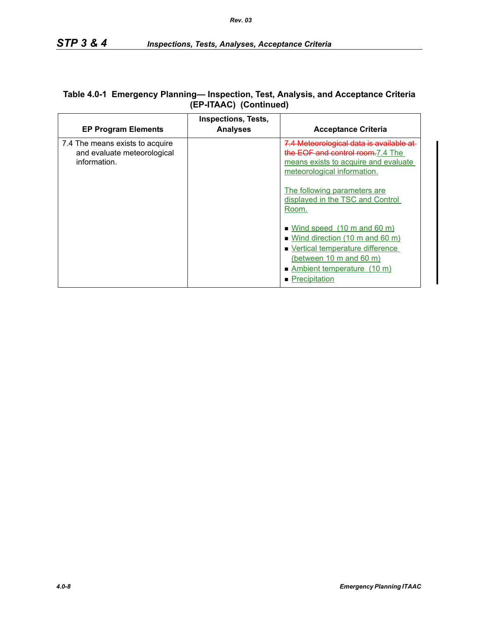| Table 4.0-1 Emergency Planning— Inspection, Test, Analysis, and Acceptance Criteria |
|-------------------------------------------------------------------------------------|
| (EP-ITAAC) (Continued)                                                              |

| <b>EP Program Elements</b>                                                     | <b>Inspections, Tests,</b><br><b>Analyses</b> | <b>Acceptance Criteria</b>                                                                                                                                                                                                                                                                                       |
|--------------------------------------------------------------------------------|-----------------------------------------------|------------------------------------------------------------------------------------------------------------------------------------------------------------------------------------------------------------------------------------------------------------------------------------------------------------------|
| 7.4 The means exists to acquire<br>and evaluate meteorological<br>information. |                                               | 7.4 Meteorological data is available at<br>the EOF and control room.7.4 The<br>means exists to acquire and evaluate<br>meteorological information.<br>The following parameters are<br>displayed in the TSC and Control<br>Room.<br>$\blacksquare$ Wind speed (10 m and 60 m)<br>• Wind direction (10 m and 60 m) |
|                                                                                |                                               | ■ Vertical temperature difference<br>(between 10 m and 60 m)<br>Ambient temperature (10 m)                                                                                                                                                                                                                       |
|                                                                                |                                               | • Precipitation                                                                                                                                                                                                                                                                                                  |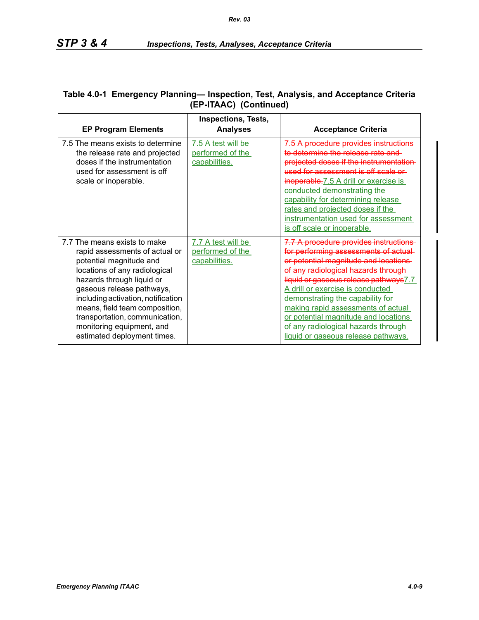| <b>EP Program Elements</b>                                                                                                                                                                                                                                                                                                                                 | <b>Inspections, Tests,</b><br><b>Analyses</b>           | <b>Acceptance Criteria</b>                                                                                                                                                                                                                                                                                                                                                                                                          |
|------------------------------------------------------------------------------------------------------------------------------------------------------------------------------------------------------------------------------------------------------------------------------------------------------------------------------------------------------------|---------------------------------------------------------|-------------------------------------------------------------------------------------------------------------------------------------------------------------------------------------------------------------------------------------------------------------------------------------------------------------------------------------------------------------------------------------------------------------------------------------|
| 7.5 The means exists to determine<br>the release rate and projected<br>doses if the instrumentation<br>used for assessment is off<br>scale or inoperable.                                                                                                                                                                                                  | 7.5 A test will be<br>performed of the<br>capabilities. | 7.5 A procedure provides instructions<br>ermine the release rate and<br>projected doses if the instrumentation-<br>assessment is off scale or<br>inoperable.7.5 A drill or exercise is<br>conducted demonstrating the<br>capability for determining release<br>rates and projected doses if the<br>instrumentation used for assessment<br>is off scale or inoperable.                                                               |
| 7.7 The means exists to make<br>rapid assessments of actual or<br>potential magnitude and<br>locations of any radiological<br>hazards through liquid or<br>gaseous release pathways,<br>including activation, notification<br>means, field team composition,<br>transportation, communication,<br>monitoring equipment, and<br>estimated deployment times. | 7.7 A test will be<br>performed of the<br>capabilities. | 7.7 A procedure provides instructions<br>for performing assessments of<br>or potential magnitude and locations<br>of any radiological hazards through<br>liquid or gaseous release pathways 7.7<br>A drill or exercise is conducted<br>demonstrating the capability for<br>making rapid assessments of actual<br>or potential magnitude and locations<br>of any radiological hazards through<br>liquid or gaseous release pathways. |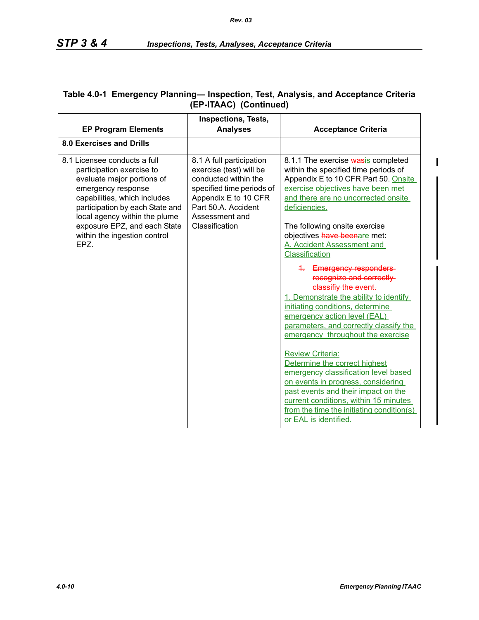| <b>EP Program Elements</b>                                                                                                                                                                                                                                                                | <b>Inspections, Tests,</b><br><b>Analyses</b>                                                                                                                                               | <b>Acceptance Criteria</b>                                                                                                                                                                                                                                                                                                                                                                                                                                                                                                                                                                                                                                                                                                                                                                                                                                                                                  |
|-------------------------------------------------------------------------------------------------------------------------------------------------------------------------------------------------------------------------------------------------------------------------------------------|---------------------------------------------------------------------------------------------------------------------------------------------------------------------------------------------|-------------------------------------------------------------------------------------------------------------------------------------------------------------------------------------------------------------------------------------------------------------------------------------------------------------------------------------------------------------------------------------------------------------------------------------------------------------------------------------------------------------------------------------------------------------------------------------------------------------------------------------------------------------------------------------------------------------------------------------------------------------------------------------------------------------------------------------------------------------------------------------------------------------|
| 8.0 Exercises and Drills                                                                                                                                                                                                                                                                  |                                                                                                                                                                                             |                                                                                                                                                                                                                                                                                                                                                                                                                                                                                                                                                                                                                                                                                                                                                                                                                                                                                                             |
| 8.1 Licensee conducts a full<br>participation exercise to<br>evaluate major portions of<br>emergency response<br>capabilities, which includes<br>participation by each State and<br>local agency within the plume<br>exposure EPZ, and each State<br>within the ingestion control<br>EPZ. | 8.1 A full participation<br>exercise (test) will be<br>conducted within the<br>specified time periods of<br>Appendix E to 10 CFR<br>Part 50.A. Accident<br>Assessment and<br>Classification | 8.1.1 The exercise wasis completed<br>within the specified time periods of<br>Appendix E to 10 CFR Part 50. Onsite<br>exercise objectives have been met<br>and there are no uncorrected onsite<br>deficiencies.<br>The following onsite exercise<br>objectives have beenare met:<br>A. Accident Assessment and<br>Classification<br>4. Emergency responders<br>recognize and correctly<br>classifiy the event.<br>1. Demonstrate the ability to identify<br>initiating conditions, determine<br>emergency action level (EAL)<br>parameters, and correctly classify the<br>emergency throughout the exercise<br><b>Review Criteria:</b><br>Determine the correct highest<br>emergency classification level based<br>on events in progress, considering<br>past events and their impact on the<br>current conditions, within 15 minutes<br>from the time the initiating condition(s)<br>or EAL is identified. |

## **Table 4.0-1 Emergency Planning— Inspection, Test, Analysis, and Acceptance Criteria (EP-ITAAC) (Continued)**

 $\blacksquare$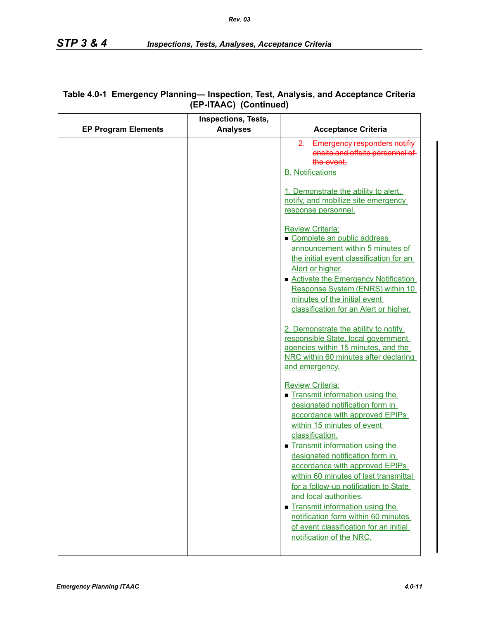| <b>EP Program Elements</b> | <b>Inspections, Tests,</b><br><b>Analyses</b> | <b>Acceptance Criteria</b>                                                                                                                                                                                                                                                                                                                                                                                                                                                                                                                                       |
|----------------------------|-----------------------------------------------|------------------------------------------------------------------------------------------------------------------------------------------------------------------------------------------------------------------------------------------------------------------------------------------------------------------------------------------------------------------------------------------------------------------------------------------------------------------------------------------------------------------------------------------------------------------|
|                            |                                               | 2. Emergency responders notifiy<br>onsite and offsite personnel of<br>the event,<br><b>B.</b> Notifications                                                                                                                                                                                                                                                                                                                                                                                                                                                      |
|                            |                                               | 1. Demonstrate the ability to alert,<br>notify, and mobilize site emergency<br>response personnel.                                                                                                                                                                                                                                                                                                                                                                                                                                                               |
|                            |                                               | <b>Review Criteria:</b><br>Complete an public address<br>announcement within 5 minutes of<br>the initial event classification for an<br>Alert or higher.<br>■ Activate the Emergency Notification<br>Response System (ENRS) within 10<br>minutes of the initial event<br>classification for an Alert or higher.<br>2. Demonstrate the ability to notify<br>responsible State, local government<br>agencies within 15 minutes, and the<br>NRC within 60 minutes after declaring<br>and emergency.                                                                 |
|                            |                                               | <b>Review Criteria:</b><br>Transmit information using the<br>designated notification form in<br>accordance with approved EPIPs<br>within 15 minutes of event<br>classification.<br>Transmit information using the<br>designated notification form in<br>accordance with approved EPIPs<br>within 60 minutes of last transmittal<br>for a follow-up notification to State<br>and local authorities.<br>$\blacksquare$ Transmit information using the<br>notification form within 60 minutes<br>of event classification for an initial<br>notification of the NRC. |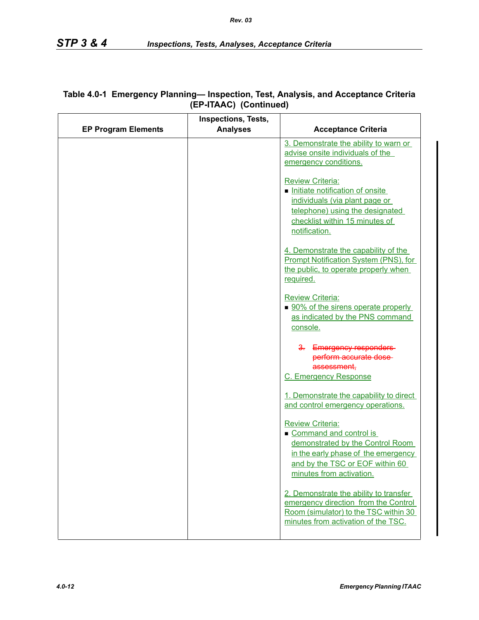|                            | <b>Inspections, Tests,</b> |                                                                                      |
|----------------------------|----------------------------|--------------------------------------------------------------------------------------|
| <b>EP Program Elements</b> | <b>Analyses</b>            | <b>Acceptance Criteria</b>                                                           |
|                            |                            | 3. Demonstrate the ability to warn or<br>advise onsite individuals of the            |
|                            |                            | emergency conditions.                                                                |
|                            |                            |                                                                                      |
|                            |                            | <b>Review Criteria:</b>                                                              |
|                            |                            | Initiate notification of onsite<br>individuals (via plant page or                    |
|                            |                            | telephone) using the designated                                                      |
|                            |                            | checklist within 15 minutes of                                                       |
|                            |                            | notification.                                                                        |
|                            |                            |                                                                                      |
|                            |                            | 4. Demonstrate the capability of the<br><b>Prompt Notification System (PNS), for</b> |
|                            |                            | the public, to operate properly when                                                 |
|                            |                            | required.                                                                            |
|                            |                            |                                                                                      |
|                            |                            | <b>Review Criteria:</b><br>■ 90% of the sirens operate properly                      |
|                            |                            | as indicated by the PNS command                                                      |
|                            |                            | console.                                                                             |
|                            |                            |                                                                                      |
|                            |                            | 3. Emergency responders-<br>perform accurate dose-                                   |
|                            |                            | assessment,                                                                          |
|                            |                            | C. Emergency Response                                                                |
|                            |                            |                                                                                      |
|                            |                            | 1. Demonstrate the capability to direct<br>and control emergency operations.         |
|                            |                            |                                                                                      |
|                            |                            | <b>Review Criteria:</b>                                                              |
|                            |                            | Command and control is                                                               |
|                            |                            | demonstrated by the Control Room<br>in the early phase of the emergency              |
|                            |                            | and by the TSC or EOF within 60                                                      |
|                            |                            | minutes from activation.                                                             |
|                            |                            |                                                                                      |
|                            |                            | 2. Demonstrate the ability to transfer                                               |
|                            |                            | emergency direction from the Control<br>Room (simulator) to the TSC within 30        |
|                            |                            | minutes from activation of the TSC.                                                  |
|                            |                            |                                                                                      |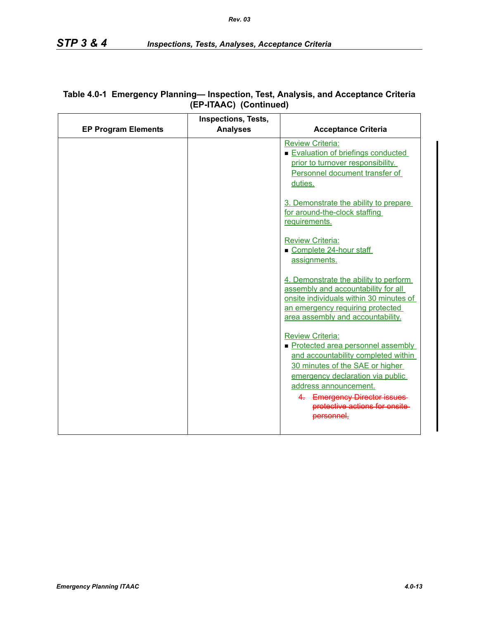|                            | Inspections, Tests, |                                                                                                                                                                                                                                                                       |
|----------------------------|---------------------|-----------------------------------------------------------------------------------------------------------------------------------------------------------------------------------------------------------------------------------------------------------------------|
| <b>EP Program Elements</b> | <b>Analyses</b>     | <b>Acceptance Criteria</b>                                                                                                                                                                                                                                            |
|                            |                     | <b>Review Criteria:</b><br>Evaluation of briefings conducted<br>prior to turnover responsibility.<br>Personnel document transfer of<br>duties.                                                                                                                        |
|                            |                     | 3. Demonstrate the ability to prepare<br>for around-the-clock staffing<br>requirements.                                                                                                                                                                               |
|                            |                     | <b>Review Criteria:</b><br>Complete 24-hour staff<br>assignments.                                                                                                                                                                                                     |
|                            |                     | 4. Demonstrate the ability to perform<br>assembly and accountability for all<br>onsite individuals within 30 minutes of<br>an emergency requiring protected<br>area assembly and accountability.                                                                      |
|                            |                     | <b>Review Criteria:</b><br>Protected area personnel assembly<br>and accountability completed within<br>30 minutes of the SAE or higher<br>emergency declaration via public<br>address announcement.<br>4. Emergency Director issues<br>protective actions for onsite- |
|                            |                     | personnel.                                                                                                                                                                                                                                                            |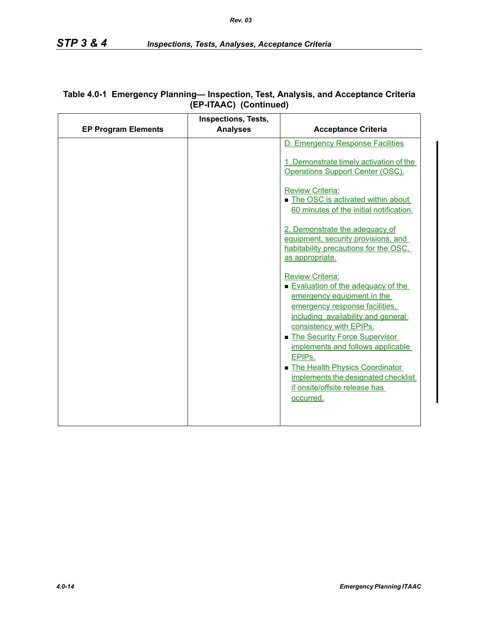|                            | <b>Inspections, Tests,</b> |                                                                                                                                                                                                                                                                                                                                                                                                                  |
|----------------------------|----------------------------|------------------------------------------------------------------------------------------------------------------------------------------------------------------------------------------------------------------------------------------------------------------------------------------------------------------------------------------------------------------------------------------------------------------|
| <b>EP Program Elements</b> | <b>Analyses</b>            | <b>Acceptance Criteria</b>                                                                                                                                                                                                                                                                                                                                                                                       |
|                            |                            | D. Emergency Response Facilities                                                                                                                                                                                                                                                                                                                                                                                 |
|                            |                            | 1. Demonstrate timely activation of the<br>Operations Support Center (OSC).                                                                                                                                                                                                                                                                                                                                      |
|                            |                            | <b>Review Criteria:</b><br>The OSC is activated within about<br>60 minutes of the initial notification.                                                                                                                                                                                                                                                                                                          |
|                            |                            | 2. Demonstrate the adequacy of<br>equipment, security provisions, and<br>habitability precautions for the OSC.<br>as appropriate.                                                                                                                                                                                                                                                                                |
|                            |                            | <b>Review Criteria:</b><br>Evaluation of the adequacy of the<br>emergency equipment in the<br>emergency response facilities.<br>including availability and general<br>consistency with EPIPs.<br>The Security Force Supervisor<br>implements and follows applicable<br>EPIP <sub>s.</sub><br>The Health Physics Coordinator<br>implements the designated checklist<br>if onsite/offsite release has<br>occurred. |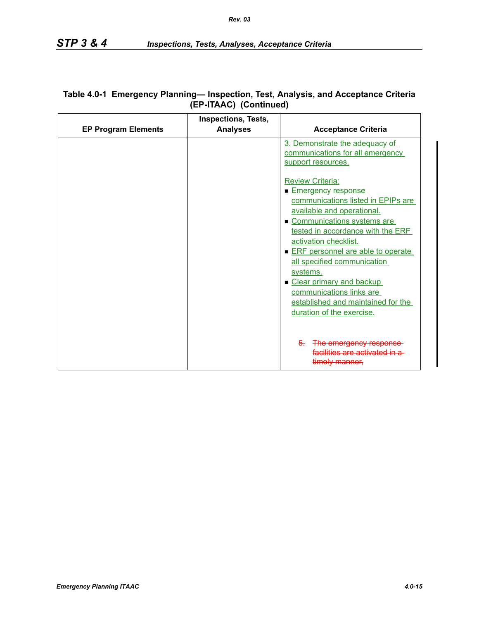| <b>EP Program Elements</b> | <b>Inspections, Tests,</b><br><b>Analyses</b> | <b>Acceptance Criteria</b>                                                                                                                                                                                                                                                                                                                                                                                                      |
|----------------------------|-----------------------------------------------|---------------------------------------------------------------------------------------------------------------------------------------------------------------------------------------------------------------------------------------------------------------------------------------------------------------------------------------------------------------------------------------------------------------------------------|
|                            |                                               | 3. Demonstrate the adequacy of<br>communications for all emergency<br>support resources.                                                                                                                                                                                                                                                                                                                                        |
|                            |                                               | <b>Review Criteria:</b><br><b>Emergency response</b><br>communications listed in EPIPs are<br>available and operational.<br>Communications systems are<br>tested in accordance with the ERF<br>activation checklist.<br>ERF personnel are able to operate<br>all specified communication<br>systems.<br>Clear primary and backup<br>communications links are<br>established and maintained for the<br>duration of the exercise. |
|                            |                                               | $5-$<br>The emergency response-<br>facilities are activated in a<br><del>timelv manner.</del>                                                                                                                                                                                                                                                                                                                                   |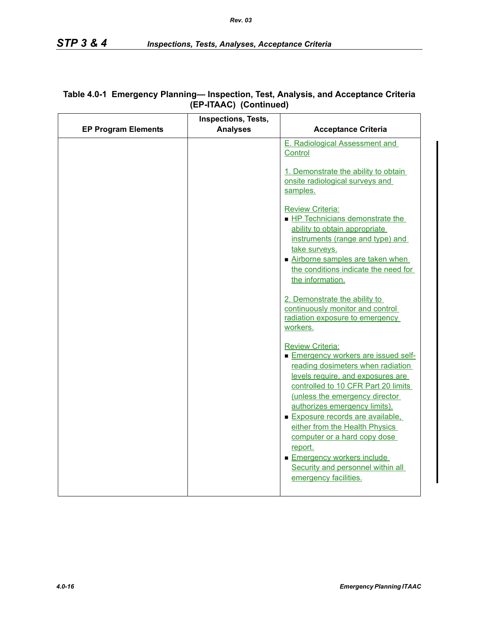|                            | Inspections, Tests, |                                                                                                                                                                                                                                                                                                                                                                                                                                                              |
|----------------------------|---------------------|--------------------------------------------------------------------------------------------------------------------------------------------------------------------------------------------------------------------------------------------------------------------------------------------------------------------------------------------------------------------------------------------------------------------------------------------------------------|
| <b>EP Program Elements</b> | <b>Analyses</b>     | <b>Acceptance Criteria</b>                                                                                                                                                                                                                                                                                                                                                                                                                                   |
|                            |                     | E. Radiological Assessment and<br>Control<br>1. Demonstrate the ability to obtain<br>onsite radiological surveys and<br>samples.                                                                                                                                                                                                                                                                                                                             |
|                            |                     | <b>Review Criteria:</b><br>HP Technicians demonstrate the<br>ability to obtain appropriate<br>instruments (range and type) and<br>take surveys.<br>Airborne samples are taken when<br>the conditions indicate the need for<br>the information.                                                                                                                                                                                                               |
|                            |                     | 2. Demonstrate the ability to<br>continuously monitor and control<br>radiation exposure to emergency<br>workers.                                                                                                                                                                                                                                                                                                                                             |
|                            |                     | <b>Review Criteria:</b><br>Emergency workers are issued self-<br>reading dosimeters when radiation<br>levels require, and exposures are<br>controlled to 10 CFR Part 20 limits<br>(unless the emergency director<br>authorizes emergency limits).<br>Exposure records are available.<br>either from the Health Physics<br>computer or a hard copy dose<br>report.<br>Emergency workers include<br>Security and personnel within all<br>emergency facilities. |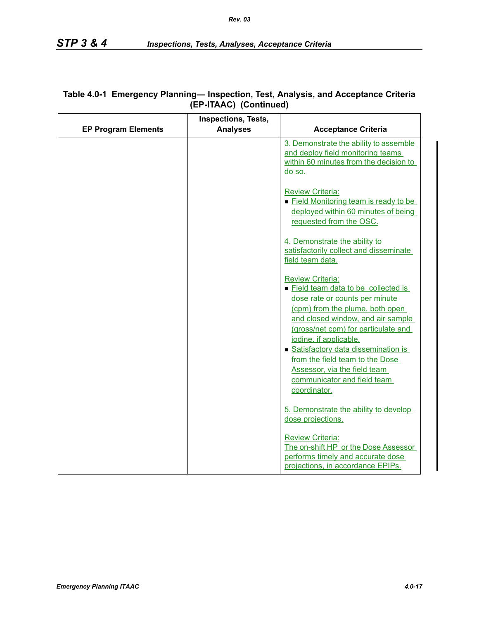|                            | <b>Inspections, Tests,</b> |                                                                                                                                                                                                                                                                                                                                                                                                  |
|----------------------------|----------------------------|--------------------------------------------------------------------------------------------------------------------------------------------------------------------------------------------------------------------------------------------------------------------------------------------------------------------------------------------------------------------------------------------------|
| <b>EP Program Elements</b> | <b>Analyses</b>            | <b>Acceptance Criteria</b>                                                                                                                                                                                                                                                                                                                                                                       |
|                            |                            | 3. Demonstrate the ability to assemble<br>and deploy field monitoring teams<br>within 60 minutes from the decision to<br>do so.                                                                                                                                                                                                                                                                  |
|                            |                            | <b>Review Criteria:</b><br>Eield Monitoring team is ready to be<br>deployed within 60 minutes of being<br>requested from the OSC.                                                                                                                                                                                                                                                                |
|                            |                            | 4. Demonstrate the ability to<br>satisfactorily collect and disseminate<br>field team data.                                                                                                                                                                                                                                                                                                      |
|                            |                            | <b>Review Criteria:</b><br>Eield team data to be collected is<br>dose rate or counts per minute<br>(cpm) from the plume, both open<br>and closed window, and air sample<br>(gross/net cpm) for particulate and<br>iodine, if applicable.<br>Satisfactory data dissemination is<br>from the field team to the Dose<br>Assessor, via the field team<br>communicator and field team<br>coordinator. |
|                            |                            | 5. Demonstrate the ability to develop<br>dose projections.                                                                                                                                                                                                                                                                                                                                       |
|                            |                            | <b>Review Criteria:</b><br>The on-shift HP or the Dose Assessor<br>performs timely and accurate dose<br>projections, in accordance EPIPs.                                                                                                                                                                                                                                                        |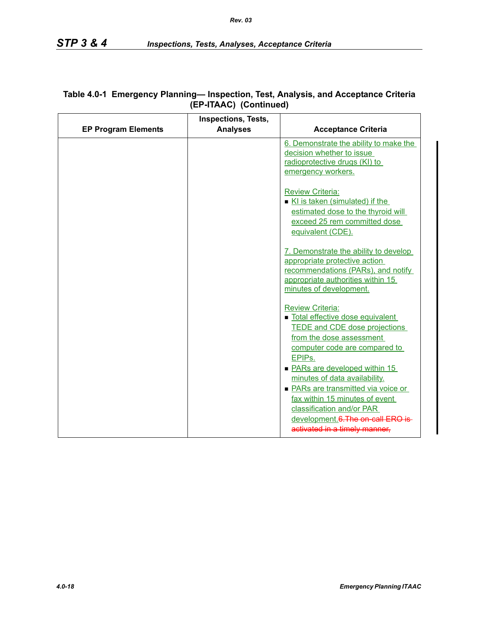|                            | <b>Inspections, Tests,</b> |                                                                                                                                                                                                                                              |
|----------------------------|----------------------------|----------------------------------------------------------------------------------------------------------------------------------------------------------------------------------------------------------------------------------------------|
| <b>EP Program Elements</b> | <b>Analyses</b>            | <b>Acceptance Criteria</b>                                                                                                                                                                                                                   |
|                            |                            | 6. Demonstrate the ability to make the<br>decision whether to issue<br>radioprotective drugs (KI) to                                                                                                                                         |
|                            |                            | emergency workers.                                                                                                                                                                                                                           |
|                            |                            | <b>Review Criteria:</b><br>KI is taken (simulated) if the<br>estimated dose to the thyroid will<br>exceed 25 rem committed dose<br>equivalent (CDE).                                                                                         |
|                            |                            | 7. Demonstrate the ability to develop<br>appropriate protective action<br>recommendations (PARs), and notify<br>appropriate authorities within 15<br>minutes of development.                                                                 |
|                            |                            | <b>Review Criteria:</b><br>Total effective dose equivalent<br><b>TEDE and CDE dose projections</b><br>from the dose assessment<br>computer code are compared to<br>EPIP <sub>s</sub> .                                                       |
|                            |                            | • PARs are developed within 15<br>minutes of data availability.<br>• PARs are transmitted via voice or<br>fax within 15 minutes of event<br>classification and/or PAR<br>development.6. The on-call ERO is-<br>activated in a timely manner, |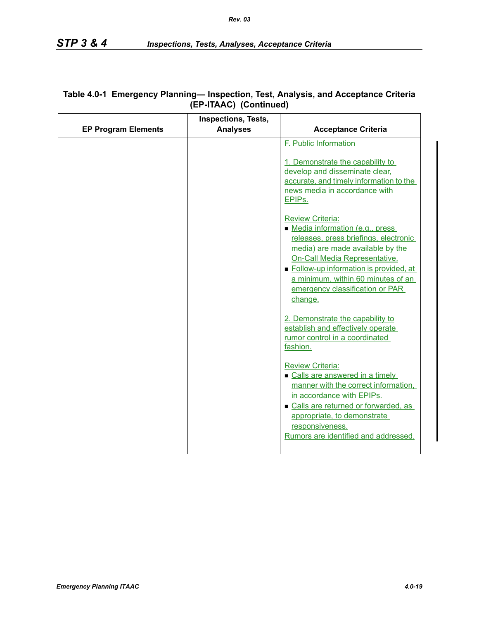|                            | <b>Inspections, Tests,</b> |                                                                                                                                                                                                                                                                                                          |
|----------------------------|----------------------------|----------------------------------------------------------------------------------------------------------------------------------------------------------------------------------------------------------------------------------------------------------------------------------------------------------|
| <b>EP Program Elements</b> | <b>Analyses</b>            | <b>Acceptance Criteria</b>                                                                                                                                                                                                                                                                               |
|                            |                            | F. Public Information<br>1. Demonstrate the capability to<br>develop and disseminate clear,<br>accurate, and timely information to the<br>news media in accordance with<br>EPIP <sub>s.</sub>                                                                                                            |
|                            |                            | <b>Review Criteria:</b><br>• Media information (e.g., press<br>releases, press briefings, electronic<br>media) are made available by the<br>On-Call Media Representative.<br>• Follow-up information is provided, at<br>a minimum, within 60 minutes of an<br>emergency classification or PAR<br>change. |
|                            |                            | 2. Demonstrate the capability to<br>establish and effectively operate<br>rumor control in a coordinated<br>fashion.                                                                                                                                                                                      |
|                            |                            | <b>Review Criteria:</b><br>• Calls are answered in a timely<br>manner with the correct information,<br>in accordance with EPIPs.<br>• Calls are returned or forwarded, as<br>appropriate, to demonstrate<br>responsiveness.<br>Rumors are identified and addressed.                                      |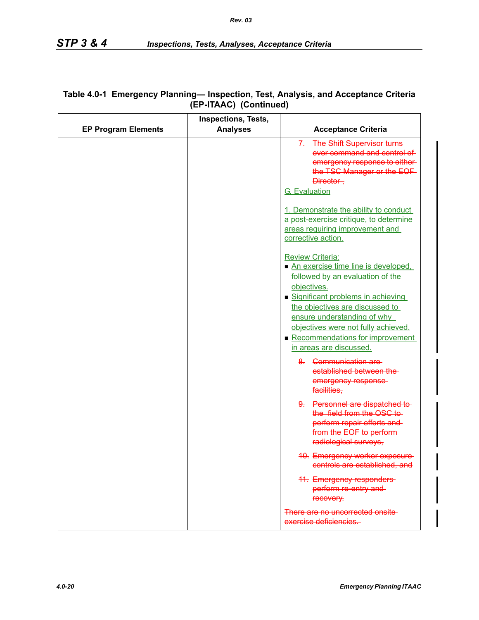|                            | <b>Inspections, Tests,</b> |                                                                                                                                                                                                                                                                                                                               |
|----------------------------|----------------------------|-------------------------------------------------------------------------------------------------------------------------------------------------------------------------------------------------------------------------------------------------------------------------------------------------------------------------------|
| <b>EP Program Elements</b> | <b>Analyses</b>            | <b>Acceptance Criteria</b>                                                                                                                                                                                                                                                                                                    |
|                            |                            | 7. The Shift Supervisor turns-<br>over command and control of<br>emergency response to either-<br>the TSC Manager or the EOF<br>Director-<br><b>G.</b> Evaluation                                                                                                                                                             |
|                            |                            | 1. Demonstrate the ability to conduct<br>a post-exercise critique, to determine<br>areas requiring improvement and<br>corrective action.                                                                                                                                                                                      |
|                            |                            | <b>Review Criteria:</b><br>An exercise time line is developed,<br>followed by an evaluation of the<br>objectives.<br>Significant problems in achieving<br>the objectives are discussed to<br>ensure understanding of why<br>objectives were not fully achieved.<br>Recommendations for improvement<br>in areas are discussed. |
|                            |                            | 8. Communication are-<br>established between the<br>emergency response-<br>facilities,                                                                                                                                                                                                                                        |
|                            |                            | 9. Personnel are dispatched to-<br>the field from the OSC to-<br>perform repair efforts and<br>from the EOF to perform-<br>radiological surveys,                                                                                                                                                                              |
|                            |                            | <b>10. Emergency worker exposure-</b><br>controls are established, and                                                                                                                                                                                                                                                        |
|                            |                            | <b>41. Emergency responders</b><br>perform re-entry and-<br>recovery.                                                                                                                                                                                                                                                         |
|                            |                            | There are no uncorrected onsite<br>exercise deficiencies.                                                                                                                                                                                                                                                                     |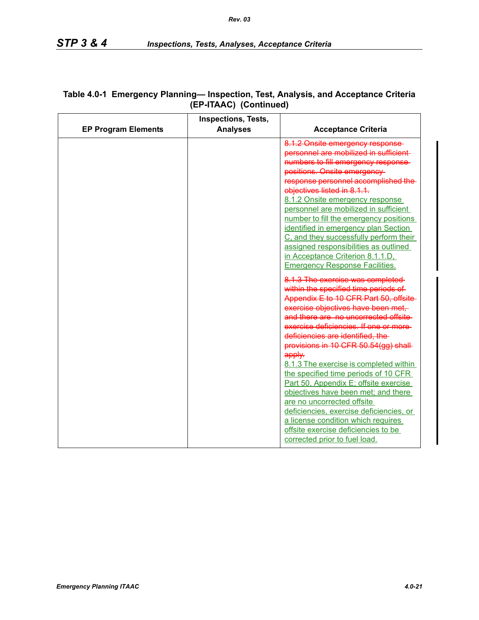|                            | <b>Inspections, Tests,</b> |                                         |
|----------------------------|----------------------------|-----------------------------------------|
| <b>EP Program Elements</b> | <b>Analyses</b>            | <b>Acceptance Criteria</b>              |
|                            |                            | 8.1.2 Onsite emergency response-        |
|                            |                            | personnel are mobilized in sufficient-  |
|                            |                            | numbers to fill emergency response-     |
|                            |                            | positions. Onsite emergency-            |
|                            |                            | response personnel accomplished the     |
|                            |                            | objectives listed in 8.1.1.             |
|                            |                            | 8.1.2 Onsite emergency response         |
|                            |                            | personnel are mobilized in sufficient   |
|                            |                            | number to fill the emergency positions  |
|                            |                            | identified in emergency plan Section    |
|                            |                            | C, and they successfully perform their  |
|                            |                            | assigned responsibilities as outlined   |
|                            |                            | in Acceptance Criterion 8.1.1.D,        |
|                            |                            | <b>Emergency Response Facilities.</b>   |
|                            |                            | 8.1.3 The exercise was completed-       |
|                            |                            | within the specified time periods of    |
|                            |                            | Appendix E to 10 CFR Part 50, offsite-  |
|                            |                            | exercise objectives have been met,      |
|                            |                            | and there are no uncorrected offsite    |
|                            |                            | exercise deficiencies. If one or more-  |
|                            |                            | deficiencies are identified, the        |
|                            |                            | provisions in 10 CFR 50.54(gg) shall-   |
|                            |                            | apply.                                  |
|                            |                            | 8.1.3 The exercise is completed within  |
|                            |                            | the specified time periods of 10 CFR    |
|                            |                            | Part 50, Appendix E; offsite exercise   |
|                            |                            | objectives have been met; and there     |
|                            |                            | are no uncorrected offsite              |
|                            |                            | deficiencies, exercise deficiencies, or |
|                            |                            | a license condition which requires      |
|                            |                            | offsite exercise deficiencies to be     |
|                            |                            | corrected prior to fuel load.           |